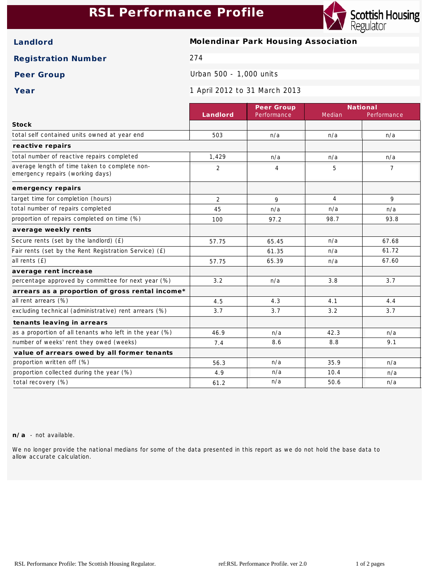## **RSL Performance Profile**



**Landlord Molendinar Park Housing Association**

**Registration Number** 274

Peer Group **Drawing Community** Urban 500 - 1,000 units

**Year** 1 April 2012 to 31 March 2013

|                                                                                   |                | Peer Group     | National       |             |
|-----------------------------------------------------------------------------------|----------------|----------------|----------------|-------------|
|                                                                                   | Landlord       | Performance    | Median         | Performance |
| Stock                                                                             |                |                |                |             |
| total self contained units owned at year end                                      | 503            | n/a            | n/a            | n/a         |
| reactive repairs                                                                  |                |                |                |             |
| total number of reactive repairs completed                                        | 1,429          | n/a            | n/a            | n/a         |
| average length of time taken to complete non-<br>emergency repairs (working days) | $\overline{2}$ | $\overline{4}$ | 5              | 7           |
| emergency repairs                                                                 |                |                |                |             |
| target time for completion (hours)                                                | $\overline{2}$ | 9              | $\overline{4}$ | 9           |
| total number of repairs completed                                                 | 45             | n/a            | n/a            | n/a         |
| proportion of repairs completed on time (%)                                       | 100            | 97.2           | 98.7           | 93.8        |
| average weekly rents                                                              |                |                |                |             |
| Secure rents (set by the landlord) (£)                                            | 57.75          | 65.45          | n/a            | 67.68       |
| Fair rents (set by the Rent Registration Service) (£)                             |                | 61.35          | n/a            | 61.72       |
| all rents (£)                                                                     | 57.75          | 65.39          | n/a            | 67.60       |
| average rent increase                                                             |                |                |                |             |
| percentage approved by committee for next year (%)                                | 3.2            | n/a            | 3.8            | 3.7         |
| arrears as a proportion of gross rental income*                                   |                |                |                |             |
| all rent arrears (%)                                                              | 4.5            | 4.3            | 4.1            | 4.4         |
| excluding technical (administrative) rent arrears (%)                             | 3.7            | 3.7            | 3.2            | 3.7         |
| tenants leaving in arrears                                                        |                |                |                |             |
| as a proportion of all tenants who left in the year (%)                           | 46.9           | n/a            | 42.3           | n/a         |
| number of weeks' rent they owed (weeks)                                           | 7.4            | 8.6            | 8.8            | 9.1         |
| value of arrears owed by all former tenants                                       |                |                |                |             |
| proportion written off (%)                                                        | 56.3           | n/a            | 35.9           | n/a         |
| proportion collected during the year (%)                                          | 4.9            | n/a            | 10.4           | n/a         |
| total recovery (%)                                                                | 61.2           | n/a            | 50.6           | n/a         |

**n/a** - not available.

We no longer provide the national medians for some of the data presented in this report as we do not hold the base data to allow accurate calculation.